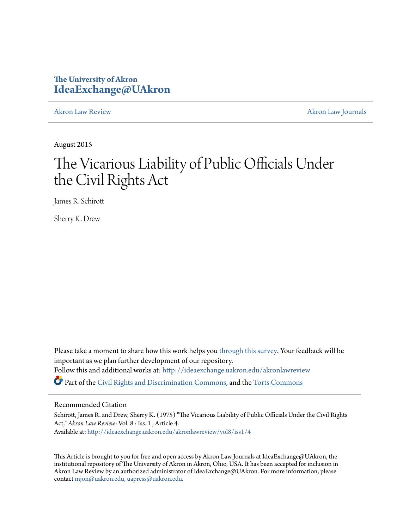# **The University of Akron [IdeaExchange@UAkron](http://ideaexchange.uakron.edu?utm_source=ideaexchange.uakron.edu%2Fakronlawreview%2Fvol8%2Fiss1%2F4&utm_medium=PDF&utm_campaign=PDFCoverPages)**

[Akron Law Review](http://ideaexchange.uakron.edu/akronlawreview?utm_source=ideaexchange.uakron.edu%2Fakronlawreview%2Fvol8%2Fiss1%2F4&utm_medium=PDF&utm_campaign=PDFCoverPages) [Akron Law Journals](http://ideaexchange.uakron.edu/akronlawjournals?utm_source=ideaexchange.uakron.edu%2Fakronlawreview%2Fvol8%2Fiss1%2F4&utm_medium=PDF&utm_campaign=PDFCoverPages)

August 2015

# The Vicarious Liability of Public Officials Under the Civil Rights Act

James R. Schirott

Sherry K. Drew

Please take a moment to share how this work helps you [through this survey.](http://survey.az1.qualtrics.com/SE/?SID=SV_eEVH54oiCbOw05f&URL=http://ideaexchange.uakron.edu/akronlawreview/vol8/iss1/4) Your feedback will be important as we plan further development of our repository. Follow this and additional works at: [http://ideaexchange.uakron.edu/akronlawreview](http://ideaexchange.uakron.edu/akronlawreview?utm_source=ideaexchange.uakron.edu%2Fakronlawreview%2Fvol8%2Fiss1%2F4&utm_medium=PDF&utm_campaign=PDFCoverPages) Part of the [Civil Rights and Discrimination Commons,](http://network.bepress.com/hgg/discipline/585?utm_source=ideaexchange.uakron.edu%2Fakronlawreview%2Fvol8%2Fiss1%2F4&utm_medium=PDF&utm_campaign=PDFCoverPages) and the [Torts Commons](http://network.bepress.com/hgg/discipline/913?utm_source=ideaexchange.uakron.edu%2Fakronlawreview%2Fvol8%2Fiss1%2F4&utm_medium=PDF&utm_campaign=PDFCoverPages)

## Recommended Citation

Schirott, James R. and Drew, Sherry K. (1975) "The Vicarious Liability of Public Officials Under the Civil Rights Act," *Akron Law Review*: Vol. 8 : Iss. 1 , Article 4. Available at: [http://ideaexchange.uakron.edu/akronlawreview/vol8/iss1/4](http://ideaexchange.uakron.edu/akronlawreview/vol8/iss1/4?utm_source=ideaexchange.uakron.edu%2Fakronlawreview%2Fvol8%2Fiss1%2F4&utm_medium=PDF&utm_campaign=PDFCoverPages)

This Article is brought to you for free and open access by Akron Law Journals at IdeaExchange@UAkron, the institutional repository of The University of Akron in Akron, Ohio, USA. It has been accepted for inclusion in Akron Law Review by an authorized administrator of IdeaExchange@UAkron. For more information, please contact [mjon@uakron.edu, uapress@uakron.edu.](mailto:mjon@uakron.edu,%20uapress@uakron.edu)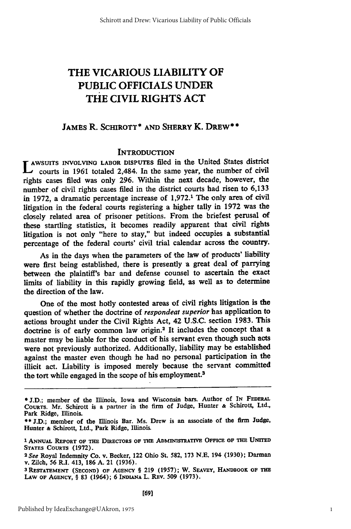# THE **VICARIOUS** LIABILITY OF PUBLIC OFFICIALS **UNDER** THE CIVIL RIGHTS **ACT**

## JAMES R. **SCHIROTT\* AND SHERRY** K. DREW\* **\***

## **INTRODUCTION**

AWSUITS INVOLVING LABOR DISPUTES filed in the United States district courts in **1961** totaled 2,484. In the same year, the number of civil rights cases filed was only 296. Within the next decade, however, the number of civil rights cases filed in the district courts had risen to **6,133** in **1972,** a dramatic percentage increase of **1,972.1** The only area of civil litigation in the federal courts registering a higher tally in **1972** was the closely related area of prisoner petitions. From the briefest perusal of these startling statistics, it becomes readily apparent that civil rights litigation is not only "here to stay," but indeed occupies a substantial percentage of the federal courts' civil trial calendar across the country.

As in the days when the parameters of the law of products' liability were first being established, there is presently a great deal of parrying between the plaintiff's bar and defense counsel to ascertain the exact limits of liability in this rapidly growing field, as well as to determine the direction of the law.

One of the most hotly contested areas of civil rights litigation is the question of whether the doctrine of *respondeat superior* has application to actions brought under the Civil Rights Act, 42 **U.S.C.** section **1983.** This doctrine is of early common law origin.2 It includes the concept that a master may be liable for the conduct of his servant even though such acts were not previously authorized. Additionally, liability may be established against the master even though he had no personal participation in the illicit act. Liability is imposed merely because the servant committed the tort while engaged in the scope of his employment.3

<sup>\*</sup> **J.D.;** member of the Illinois, Iowa and Wisconsin bars. Author **of IN FEDERAL** CouRTS. Mr. Schirott is a partner in the firm of Judge, Hunter **&** Schirott, Ltd., Park Ridge, Illinois.

**<sup>\*\*</sup> J.D.;** member of the Illinois Bar. Ms. Drew is an associate of the firm Judge, Hunter **&** Schirott, Ltd., Park Ridge, Illinois.

**<sup>1</sup> ANNUAL REPORT OF THE DIRECTORS OF THE ADMINISTRATIVE OFFICE OF THE** UNITED

STATES CouRTs **(1972).** *<sup>2</sup> See* Royal Indemnity Co. v. Becker, 122 Ohio St. **582, 173 N.E.** 194 **(1930);** Darman **v.** Zilch, *56* R.I. 413, **186 A.** 21 **(1936).**

**<sup>3</sup>RESTATEMENT (SEcoND) OF AGENCY** § **219 (1957);** W. **SEAVEY, HANmBOOK OF THE LAw OF AGENCY,** § **83** (1964); 6 **INDIANA** L. REv. **509 (1973).**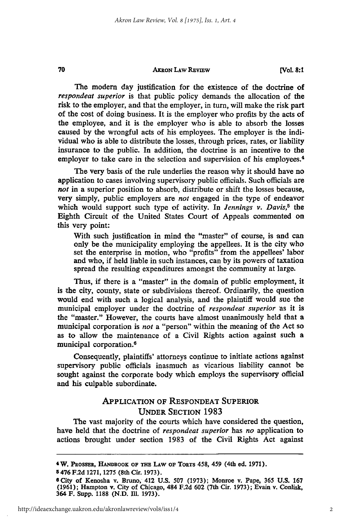70

**[VoL 8:1**

The modern day justification for the existence of the doctrine of *respondeat superior* is that public policy demands the allocation of the risk to the employer, and that the employer, in turn, will make the risk part of the cost of doing business. It is the employer who profits **by** the acts of the employee, and it is the employer who is able to absorb the losses caused **by** the wrongful acts of his employees. The employer is the individual who is able to distribute the losses, through prices, rates, or liability insurance to the public. In addition, the doctrine is an incentive to the employer to take care in the selection and supervision of his employees.<sup>4</sup>

The very basis of the rule underlies the reason why it should have no application to cases involving supervisory public officials. Such officials are *not* in a superior position to absorb, distribute or shift the losses because, very simply, public employers are *not* engaged **in** the type of endeavor which would support such type of activity. In *Jennings v. Davis,5* the Eighth Circuit of the United States Court of Appeals commented on this very point:

With such justification in mind the "master" of course, is and can only be the municipality employing the appellees. It is the city who set the enterprise in motion, who "profits" from the appellees' labor and who, if held liable in such instances, can **by** its powers **of** taxation spread the resulting expenditures amongst the community at large.

**Thus, if** there is a "master" in the domain of public employment, it is the city, county, state or subdivisions thereof. Ordinarily, the question would end with such a logical analysis, and the plaintiff would sue the municipal employer under the doctrine of *respondeat superior* **'as** it is the "master." However, the courts have almost unanimously held that a municipal corporation is *not* a "person" within the meaning of the Act so as to 'allow the maintenance of a Civil Rights action against such a municipal corporation.<sup>6</sup>

Consequently, plaintiffs' attorneys continue to initiate actions against supervisory public officials inasmuch as vicarious liability cannot be sought against the corporate body which employs the supervisory official and his culpable subordinate.

# APPLICATION OF **RESPONDEAT** SUPERIOR UNDER SECTION **1983**

The vast majority of the courts which have considered the question, have held that the doctrine of *respondeat superior* has *no* application to actions brought under section **1983** of the Civil Rights Act against

<sup>4</sup>W. **PROSSER, HANDBOOK OF THE LAW OF TORTS 458, 459 (4th** ed. **1971).**

<sup>5476</sup> **F.2d 1271, 1275** (8th Cir. **1973).**

**<sup>6</sup> City of Kenosha v.** Bruno, **412 U.S. 507 (1973); Monroe v. Pape, 365 U.S. 167 (1961); Hampton** v. City of **Chicago, 484 F.2d 602 (7th Cir. 1973); Evain v. Conlisk,** 364 F. Supp. 1188 (N.D. Ill. 1973).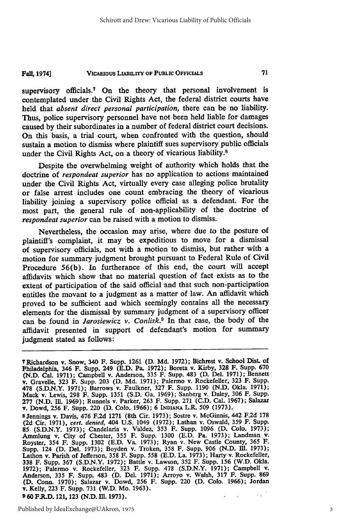#### **VICARIOUS LIABILITY OF PUBLIC OFFICIALS Fall, 1974**]

supervisory officials.<sup>7</sup> On the theory that personal involvement is contemplated under the Civil Rights Act, the federal district courts have held that *absent direct personal participation,* there can be no liability. Thus, police supervisory personnel have not been held liable for damages caused **by** their subordinates in a number of federal district court decisions. On this basis, a trial court, when confronted with the question, should sustain a motion to dismiss where plaintiff sues supervisory public officials under the Civil Rights Act, on a theory of vicarious liability.<sup>8</sup>

Despite the overwhelming weight of authority which holds that the doctrine of *respondeat superior* has no application to actions maintained under the Civil Rights Act, virtually every case alleging police brutality or false arrest includes one count embracing the theory of vicarious liability joining a supervisory police official as a defendant. For the most part, the general rule of non-applicability of the doctrine of *respondeat superior* can be raised with a motion to dismiss.

Nevertheless, the occasion may arise, where due to the posture of plaintiff's complaint, it may be expeditious to move for a dismissal of supervisory officials, not with a motion to dismiss, but rather with a motion for summary judgment brought pursuant to Federal Rule of Civil Procedure **56(b).** In furtherance of this end, the court will accept affidavits which show that no material question of fact exists as to the extent of participation of the said official and that such non-participation entitles the movant to a judgment as a matter of law. An affidavit which proved to be sufficient and which seemingly contains all the necessary elements for the dismissal **by** summary judgment of a supervisory officer can be found in *Jarosiewicz v. Conlisk.9* In that case, the body of the affidavit presented in support of defendant's motion for summary judgment stated as follows:

8 Jennings v. Davis, 476 F.2d 1271 (8th Cir. 1973); Sostre v. McGinnis, 442 F.2d 178 (2d Cir. 1971), cert. denied, 404 U.S. 1049 (1972); Lathan v. Oswald, 359 F. Supp. 85 (S.D.N.Y. 1973); Candelaria v. Valdez, 353 F. Supp. 1096 (D. Colo. 1973); Ammlung v. City of Chester, 355 F. Supp. 1300 (E.D. Pa. 1973); Landman v. Royster, 354 F. Supp. 1302 (E.D. Va. 1973); Ryan v. New Castle County, Supp. 124 (D. Del. 1973); Boyden v. Troken, 358 F. Supp. 906 (N.D. III. 1973); Lathon v. Parish of Jefferson, 358 F. Supp. 558 (E.D. La. 1973); Harty v. Rockefeller, 338 F. Supp. 367 (S.D.N.Y. 1972); Battle v. Lawson, 352 Anderson, **335** F. Supp. 483 **(D.** Del. **1971);** Arroyo v. Walsh, **317 F.** Supp. **869 (D.** Conn. **1970);** Salazar v. Dowd, **256** F. Supp. 220 **(D. Colo. 1966);** Jordan v. Kelly, **223** F. Supp. **731** (W.D. Mo. **1963). 9 60 F.R.D.** 121, **123 (N.D. IL. 1973).**  $\mathcal{L}_{\mathcal{A}}$ 

T Richardson v. Snow, 340 F. Supp. **1261 (D. Md. 1972);** Bichrest **v.** School Dist of Philadelphia, 346 F. Supp. 249 (E.D. Pa. 1972); Boreta v. Kirby, 328 F. Supp. 670 (N.D. Cal. 1971); Campbell v. Anderson, 335 F. Supp. 483 (D. Del. 1971); Bennett v. Gravelle, 323 F. Supp. 203 (D. Md. 1971); Palermo v. Roc v. Dowd, **256** F. Supp. 220 **(D. Colo. 1966); 6 INDIANA** L.R. **509 (1973).**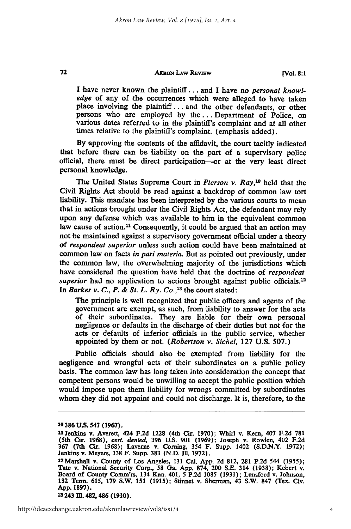**[Vol. 8:1**

**I** have never known the plaintiff... and **I** have no *personal knowledge* of any of the occurrences which were alleged to have taken place involving the **plaintiff...** and the other defendants, or other persons who are employed **by the...** Department of Police, on various dates referred to in the plaintiff's complaint and at all other times relative to the plaintiff's complaint. (emphasis added).

**By** approving the contents of the affidavit, the court tacitly indicated that before there can be liability on the part of a supervisory police official, there must 'be direct participation-or at the very least direct personal knowledge.

The United States Supreme Court in *Pierson v. Ray,'0* held that the Civil Rights Act should be read against a backdrop of common law tort liability. This mandate has been interpreted **by** the various courts to mean that in actions brought under the Civil Rights Act, the defendant may rely upon any defense which was available to him in the equivalent common law cause of action.<sup>11</sup> Consequently, it could be argued that an action may not be maintained against a supervisory government official under a theory of *respondeat superior* unless such action could have been maintained at common law on facts *in* **pari** *materia.* But as pointed out previously, under the common law, the overwhelming majority of the jurisdictions which have considered the question 'have **'held** that the doctrine of *respondeat* superior had no application to actions brought against public officials.<sup>12</sup> In *Barker v. C., P. & St. L. Ry. Co.,13* the court stated:

The principle is well recognized that public officers and agents of the government are exempt, as such, from liability to answer for the acts of their subordinates. They are liable for their own personal negligence or defaults in the discharge of their duties but not for the acts or defaults of inferior officials in the public service, whether appointed **by** them or not. *(Robertson v. Sichel,* **127 U.S. 507.)**

Public officials should also be exempted from liability for the negligence and wrongful acts of their subordinates on a public policy basis. The common law has long taken into consideration the concept that competent persons would be unwilling to accept the public position which would impose upon them liability for wrongs committed **by** subordinates whom they did not appoint and could not discharge. It is, therefore, to the

72

'3243 **IM. 482,** 486 **(1910).**

**<sup>1</sup>o 386 U.S.** 547 **(1967).**

<sup>11</sup> Jenkins v. Averett, 424 F.2d 1228 (4th Cir. 1970); Whirl v. Kern, 407 F.2d 781<br>(5th Cir. 1968), cert. denied, 396 U.S. 901 (1969); Joseph v. Rowlen, 402 F.2d<br>367 (7th Cir. 1968); Laverne v. Corning, 354 F. Supp. 1402 (S Jenkins v. Meyers, **338** F. Supp. **383 (N.D.** I1. **1972).**

<sup>1</sup> <sup>2</sup> Marshall v. County of Los Angeles, **131** Cal. **App. 2d 812, 281 P.2d** 544 **(1955);** Tate v. National Security Corp., **58** Ga. **App. 874,** 200 **S.E.** 314 **(1938);** Kebert v. Board of County Comm'rs, 134 Kan. 401, 5 **P.2d 1085 (1931);** Lunsford v. Johnson, **132** Tenn. 615, **179** S.W. 151 **(1915);** Stinnet v. Sherman, 43 S.W. **847 (Tex.** Civ. **App. 1897).**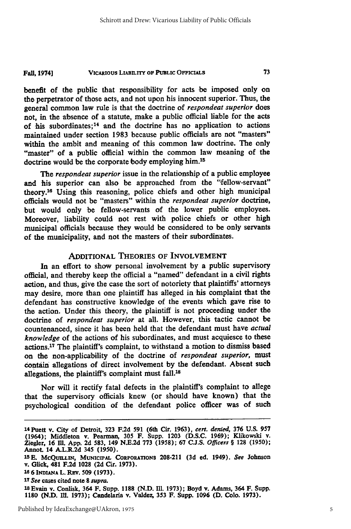#### VicARIous **LIABILITY OF PUBLIC OFFClALS Fall, 1974]**

benefit of the public that responsibility for acts be imposed only on the perpetrator of those acts, and not upon his innocent superior. Thus, the general common law rule is that the doctrine of *respondeat superior* does not, in the absence of a statute, make a public official liable for the acts of his subordinates; 14 and the doctrine has no application to actions maintained under section **1983** because public officials are not "masters" within the ambit and meaning **of** this common law doctrine. The only "master" of a public official within the common law meaning of the doctrine would be the corporate body employing him.<sup>15</sup>

*The respondeat superior* issue in the relationship of a public employee and his superior can also be approached from the "fellow-servant" theory. 16 Using this reasoning, police chiefs and other high municipal officials would not **be** "masters" within the *respondeat superior* doctrine, but would only be fellow-servants of the lower public employees. Moreover, liability could not rest with police chiefs or other high municipal officials because they would be considered to be only servants of the municipality, and not the masters of their subordinates.

## **ADDITIONAL** THEORIES OF INVOLVEMENT

In an effort to show personal involvement **by** a public supervisory official, and thereby keep the official a "named" defendant in a civil rights action, and thus, give the case the sort of notoriety that plaintiffs' attorneys may desire, more than one plaintiff has alleged in his complaint that the defendant has constructive knowledge of the events which gave rise to the action. Under this theory, the plaintiff is not proceeding under the doctrine of *respondeat superior* at all. However, this tactic cannot be countenanced, since it has been held that the defendant must have *actual knowledge* of the actions of his subordinates, and must acquiesce to these actions. 17 The plaintiff's complaint, to withstand a motion to dismiss based on the non-applicability of the doctrine of *respondeat superior,* must contain allegations of direct involvement **by** the defendant. Absent such allegations, the plaintiff's complaint must fall.<sup>18</sup>

Nor will it rectify fatal defects in the plaintiff's complaint to allege that the supervisory officials knew (or should have known) that the psychological condition of the defendant police officer was of such

<sup>1</sup> <sup>4</sup> Puett **v.** City **of Detroit, 323 F.2d 591 (6th Cir. 1963), cert.** *denied,* **376 U.S. 957 (1964); Middleton v. Pearman, 305 F. Supp. 1203 (D.S.C. 1969); Klikowski v. Ziegler, 16 Ill. App. 2d 583, 149 N.E.2d 773 (1958); 67 C.J.S.** *Officers §* **128 (1950); Annot. 14 A.L.R.2d 345 (1950).**

**<sup>15</sup>E. MCQUILLIN, MUNICn'AL CORPORATIONs 208-211 (3d ed. 1949).** *See* **Johnson v. Glick, 481 F.2d 1028 (2d Cir. 1973).**

<sup>16 6</sup> INDIANA L. REV. 509 (1973).

**<sup>1</sup>***<sup>7</sup> See* **cases cited note 8** *supra.*

**<sup>18</sup> Evain v. Conlisk. 364 F. Supp. 1188 (N.D. Ill. 1973); Boyd v. Adams,** 364 **F. Supp. 1180 (N.D. M11. 1973); Candelaria v. Valdez, 353 F. Supp. 1096 (D. Colo. 1973).**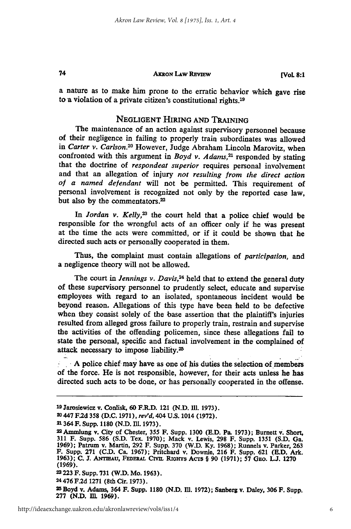#### **AKRoN LAw REVIEw**

a nature as to make him prone to the erratic behavior which gave rise to a violation of a private citizen's constitutional rights. <sup>19</sup>

## **NEGLIGENT** HIRING **AND** TRAINING

The maintenance of an action against supervisory personnel because of their negligence in failing to properly train subordinates was allowed in *Carter v. Carlson.20* However, Judge Abraham Lincoln Marovitz, when confronted with this argument in *Boyd v. Adams,21* responded **by** stating that the doctrine of *respondeat superior* requires personal involvement and that an allegation of injury *not resulting from the direct action* of a named defendant will not be permitted. This requirement of personal involvement is recognized not only **by** the reported case law, but also by the commentators.<sup>22</sup>

In Jordan v. Kelly,<sup>23</sup> the court held that a police chief would be responsible for the wrongful acts of an officer only if he was present at the time the acts were committed, or if it could be shown that he directed such acts or personally cooperated in them.

Thus, the complaint must contain allegations of *participation,* and a negligence theory will not be allowed.

The court in *Jennings v. Davis*,<sup>24</sup> held that to extend the general duty of these supervisory personnel to prudently select, educate and supervise employees with regard to an isolated, spontaneous incident would be beyond reason. Allegations of this type have been 'held to be defective when they consist solely of the base assertion that the plaintiff's injuries resulted 'from alleged gross failure to properly train, restrain and supervise the activities of the offending policemen, since these allegations fail to state the personal, specific and factual involvement in the complained of attack necessary to impose liability.<sup>25</sup>

- **A** police chief may have as one of his duties the selection of members of the force. He is not responsible, however, for their acts unless he has directed such acts to be done, or has personally cooperated in the offense.

**<sup>19</sup>**Jarosiewicz v. Conlisk, **60** F.R.D. 121 **(N.D. Ill. 1973).**

**<sup>20 447</sup> F.2d 358 (D.C. 1971),** *rev'd,* 404 **U.S.** 1014 **(1972).**

<sup>21 364</sup> F. Supp. 1180 (N.D. Ill. 1973).<br>22 Ammlung v. City of Chester, 355 F. Supp. 1300 (E.D. Pa. 1973); Burnett v. Short, 311 F. Supp. 586 (S.D. Tex. 1970); Mack v. Lewis, 298 F. Supp. 1351 (S.D. Ga. **1969);** Patrum v. Martin, **292** F. Supp. **370** (W.D. **Ky. 1968);** Runnels v. Parker, **<sup>263</sup>** F. Supp. **271 (C.D.** Ca. **1967);** Pritchard v. Downie, **216** F. Supp. **621 (E.D.** Ark. **1963); C. J.** ANTmAu, Fanaw.L Cvim **Riorrs** AcTs § **90 (1971); 57** GEo. **W. 1270 (1969).**

**<sup>23223</sup>** F. Supp. **731** (W.D. Mo. **1963).**

**<sup>24</sup>**476 **F.2d 1271** (8th Cir. **1973).**

**<sup>5</sup>**Boyd v. Adams, 364 F. Supp. **1180 (N.D.** 111. **1972);** Sanberg v. Daley, **306** F. Supp. **277 (N.D. IlL 1969).**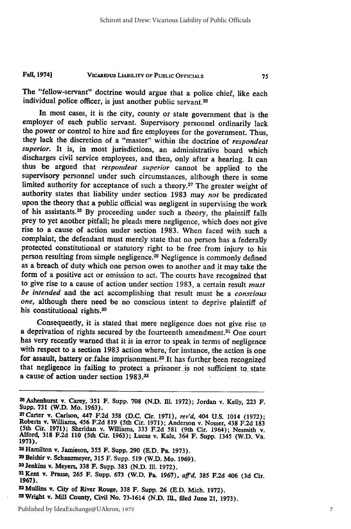#### VICARIOUS **LIABILITY OF PUBLIC OFFICIALS Fall, 1974]**

The "fellow-servant" doctrine would argue that a police chief, like each individual police officer, is just another public servant.<sup>26</sup>

In most cases, it is the city, county or state government that is the employer of each public servant. Supervisory personnel ordinarily lack the power or control to hire and fire employees for the government. Thus, they lack the discretion of a "master" within the doctrine of *respondeat* superior. It is, in most jurisdictions, an administrative board which discharges civil service employees, and then, only after a hearing. It can thus be argued that *respondeat superior* cannot be applied to the supervisory personnel under such circumstances, although there is some limited authority for acceptance of such a theory.<sup>27</sup> The greater weight of authority states that liability under section 1983 may *not* be predicated upon the theory that a public official was negligent in supervising the work of his assistants. 28 By proceeding under such a theory, the plaintiff falls prey to yet another pitfall; he pleads mere negligence, which does not give rise to a cause of action under section 1983. When faced with such a complaint, the defendant must merely state that no person has a federally protected constitutional or statutory right to be free from injury to his person resulting from simple negligence.<sup>29</sup> Negligence is commonly defined as a breach of duty which one person owes to another and it may take the form of a positive act or omission to act. The courts have recognized that to give rise to a cause of action under section 1983, a certain result *must be intended* and the act accomplishing that result must be a *conscious one,* although there need be no conscious intent to deprive plaintiff of his constitutional rights.30

Consequently, it is stated that mere negligence does not give rise to a deprivation of rights secured by the fourteenth amendment.31 One court has very recently warned that it is in error to speak in terms of negligence with respect to a section 1983 action where, for instance, the action is one for assault, battery or false imprisonment.<sup>32</sup> It has further been recognized that negligence in failing to protect a prisoner is not sufficient to state a cause of action under section  $1983<sup>33</sup>$ 

<sup>2</sup> SAshenhurst v. Carey, **351** F. Supp. **708 (N.D. Ill. 1972);** Jordan v. Kelly, **223** F. Supp. 731 (W.D. Mo. 1963).<br><sup>27</sup> Carter v. Carlson, 447 F.2d 358 (D.C. Cir. 1971), rev'd, 404 U.S. 1014 (1972);

Roberts v. Williams, 456 F.2d 819 (5th Cir. 1971); Anderson v. Nosser, 438 F.2d 183<br>(5th Cir. 1971); Sheridan v. Williams, 333 F.2d 581 (9th Cir. 1964); Nesmith v.<br>Alford, 318 F.2d 110 (5th Cir. 1963); Lucas v. Kale, 364 F

<sup>28</sup>Hamilton v. Jamieson, **355 F.** Supp. **290 (E.D.** Pa. **1973).**

**<sup>2</sup>**Beishir v. Schanzmeyer, **315** F. Supp. **519** (W.D. Mo. **1969).**

*SO* Jenkins v. Meyers, **338** F. Supp. **383 (N.D.** Ill. **1972).** <sup>3</sup>

<sup>2</sup>Kent v. Prasse, **265 F.** Supp. **673** (W.D. Pa. **1967),** *aff'd,* 385 **F.2d** 406 **(3d** Cir. **1967).**

**<sup>3</sup> <sup>2</sup>**Mullins v. City of River Rouge, **338** F. Supp. **26 (E.D.** Mich. **1972).** <sup>33</sup> Wright v. Mill County, Civil **No. 73-1614 (N.D. IlL.,** filed June 21, **1973).**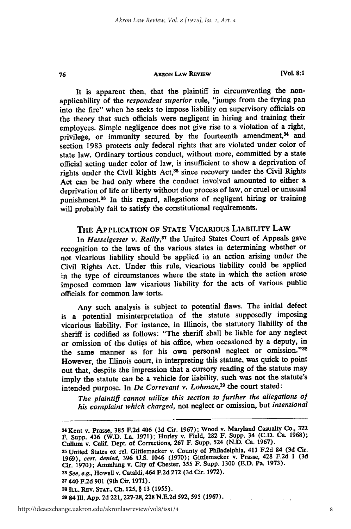76

**[Vol. 8:1**

It is apparent then, that the plaintiff in circumventing the nonapplicability of the *respondeat superior* rule, "jumps from the frying pan into the fire" when he seeks to impose liability on supervisory officials on the theory that such officials were negligent in hiring and training their employees. Simple negligence does not give rise to a violation of a right, privilege, or immunity secured by the fourteenth amendment,<sup>34</sup> and section **1983** protects only federal rights that are violated under color of state law. Ordinary tortious conduct, without more, committed **by** a state official acting under color of law, is insufficient to show a deprivation of rights under the Civil Rights Act,35 since recovery under the Civil Rights Act can be had only where the conduct involved amounted to either a deprivation of life or liberty without due process of law, or cruel or unusual punishment. 38 In this regard, allegations of negligent hiring or training will probably fail to satisfy the constitutional requirements.

# THE APPLICATION OF **STATE** VICARIOUS **LIABILITY LAW**

In *Hesselgesser v. Reilly*,<sup>37</sup> the United States Court of Appeals gave recognition to the laws of the various states in determining whether or not vicarious liability should be applied in an action arising under the Civil Rights Act. Under this rule, vicarious liability could be applied in the type of circumstances where the state in which the action arose imposed common law vicarious liability for the acts of various public officials for common law torts.

Any such analysis is subject to potential flaws. The initial defect is a potential misinterpretation of the statute supposedly imposing vicarious liability. For instance, in Illinois, the statutory liability of the sheriff is codified as follows: "The sheriff shall be liable for any neglect or omission of the duties of his office, when occasioned by a deputy, in the same manner as for his own personal neglect or omission."38 However, the Illinois court, in interpreting this statute, was quick to point out that, despite the impression that a cursory reading of the statute may imply the statute can be a vehicle for liability, such was not the statute's intended purpose. In *De Correvant v. Lohman,39* the court stated:

*The plaintifi cannot utilize this section to further the allegations of his complaint which charged,* not neglect or omission, but *intentional*

**<sup>34</sup>**Kent **v.** Prasse, **385 F.2d** 406 **(3d** Cir. **1967);** Wood **v.** Maryland Casualty **Co., 322 F. Supp.** 436 (W.D. La. **1971);** Hurley v. Field, 282 F. Supp. 34 (C.D. Ca. 1968); Cullum v. Calif. Dept. of Corrections, **267** F. Supp. 524 **(N.D.** Ca. **1967).** 35 United States ex rel. Gittlemacker v. County of Philadelphia, 413 F.2d 84 (3d Cir. 1969), cert. denied, 396 U.S. 1046 (1970); Gittlemacker v. Prasse, 428 F.2d 1 (3d Cir. 1970); Ammlung v. City of Chester, 355 F. Supp. 1 *<sup>36</sup>See, e.g.,* Howell v. Cataldi, 464 **F.2d 272 (3d** Cir. **1972). 37** 440 **F.2d 901** (9th Cir. **1971). <sup>38</sup>ILL. REv. STAT., Ch. 125,** § **13 (1955). 3984** M1. **App. 2d 221,227-28,228 N.E.2d 592, 595 (1967).**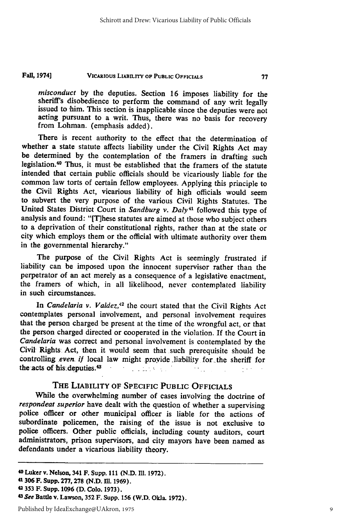#### VICARIOUS **LIABILITY OF PUBLIC OFFICIALS Fall, 19741**

*misconduct* by the deputies. Section 16 imposes liability for the sheriff's disobedience to perform the command of any writ legally issued to him. This section is inapplicable since the deputies were not acting pursuant to a writ. Thus, there was no basis for recovery from Lohman. (emphasis added).

There is recent authority to the effect that the determination of whether a state statute affects liability under the Civil Rights Act may be determined **by** the contemplation of the framers in drafting such legislation.<sup>40</sup> Thus, it must be established that the framers of the statute intended that certain public officials should be vicariously liable for the common law torts of certain fellow employees. Applying this principle to the Civil Rights Act, vicarious liability of high officials would seem to subvert the very purpose of the various Civil Rights Statutes. The United States District Court in *Sandburg v. Daly41* followed this type of analysis and found: "[T]hese statutes are aimed at those who subject others to a deprivation of their constitutional rights, rather than at the state or city which employs them or the official with ultimate authority over them in the governmental hierarchy."

The purpose of the Civil Rights Act is seemingly frustrated if liability can be imposed upon the innocent supervisor rather than the perpetrator of an act merely as a consequence of a legislative enactment, the framers of which, in all likelihood, never contemplated liability in such circumstances.

In *Candelaria v. Valdez*,<sup>42</sup> the court stated that the Civil Rights Act contemplates personal involvement, and personal involvement requires that the person charged be present at the time of the wrongful act, or that the person charged directed or cooperated in the violation. **If** the Court in *Candelaria* was correct and personal involvement is contemplated **by** the Civil Rights Act, then it would seem that such prerequisite should be controlling *even if* local law might provide liability for the sheriff for the acts of his deputies.<sup>43</sup>  $\label{eq:2} \mathcal{L}^{\text{max}}_{\text{max}} = \mathcal{L}^{\text{max}}_{\text{max}} + \mathcal{L}^{\text{max}}_{\text{max}} + \mathcal{L}^{\text{max}}_{\text{max}}$ 

# THE LIABILITY OF SPECIFIC **PUBLIC** OFFICIALS

While the overwhelming number of cases involving the doctrine of *respondeat superior* have dealt with the question of whether a supervising police officer or other municipal officer is liable for the actions **of** subordinate policemen, the raising of the issue is not exclusive to police officers. Other public officials, including county auditors, court administrators, prison supervisors, and city mayors have been named as defendants under a vicarious liability theory.

**<sup>4 0</sup>** Luker **v. Nelson,** 341 **F. Supp. 111 (N.D. 111. 1972).**

**<sup>41306</sup> F. Supp. 277,278 (N.D. 111. 1969).**

**<sup>42353</sup>**F. **Supp. 1096 (D. Colo. 1973).** *<sup>4</sup>*

*<sup>3</sup>See* Battle v. Lawson, **352 F. Supp. 156** (W.D. Okla. **1972).**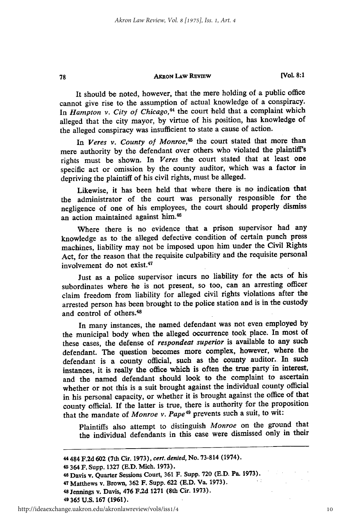It should be noted, however, that the mere holding of a public office cannot give rise to the assumption **of** actual knowledge of a conspiracy. In *Hampton v. City of Chicago*,<sup>44</sup> the court held that a complaint which alleged that the city mayor, by virtue of his position, has knowledge of the alleged conspiracy was insufficient to state a cause of action.

In Veres v. County of Monroe,<sup>45</sup> the court stated that more than mere authority by the defendant over others who violated the plaintiff's rights must be shown. In *Veres* the court stated that at least one specific act or omission by the county auditor, which was a factor in depriving the plaintiff of his civil rights, must be alleged.

Likewise, it has been held that where there is no indication that the administrator of the court was personally responsible for the negligence of one of his employees, the court should properly dismiss an action maintained against him.4

Where there is no evidence that a prison supervisor had any knowledge as to the alleged defective condition of certain punch press machines, liability may not be imposed upon him under the Civil Rights Act, for the reason that the requisite culpability and the requisite personal involvement do not exist.47

Just as a police supervisor incurs no liability for the acts of his subordinates where he is not present, so too, can an arresting officer claim freedom from liability for alleged civil rights violations after the arrested person has been brought to the police station and is in the custody and control of others.<sup>48</sup>

In many instances, the named defendant was not even employed by the municipal body when the alleged occurrence took place. In most of these cases, the defense of *respondeat superior* is available to any such defendant. The question becomes more complex, however, where the defendant is a county official, such as the county auditor. In such instances, it is really the office which is often the true party in interest, and the named defendant should look to the complaint to ascertain whether or not this is a suit brought against the individual county official in his personal capacity, or whether it is brought against the office of that county official. **If** the latter is true, there is authority for the proposition that the mandate of *Monroe v. Pape49* prevents such a suit, to wit:

Plaintiffs also attempt to distinguish *Monroe* on the ground that the individual defendants in this case were dismissed only in their

<sup>44</sup>**484 F.2d 602 (7th Cir. 1973), cert. denied, No. 73-814 (1974).**

<sup>4</sup>**364 F. Supp. 1327 (E.D. Mich. 1973).**

**<sup>46</sup> Davis v. Quarter Sessions Court, 361 F. Supp. 720 (E.D. Pa. 1973).**

<sup>47</sup>**Matthews v. Brown, 362 F. Supp. 622 (E.D. Va. 1973).**

**<sup>4</sup>s Jennings v. Davis, 476 F.2d 1271 (8th Cir. 1973).**

**<sup>49</sup> 365 U.S. 167 (1961).**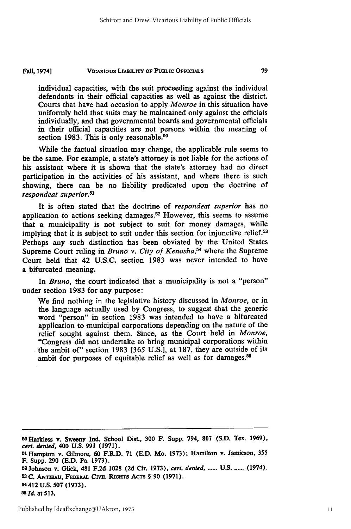#### **VICARIOUS LIABILITY OF PUBLIC OFFICIALS Fall, 1974]**

individual capacities, with the suit proceeding against the individual defendants in their official capacities as well as against the district. Courts that have had occasion to apply *Monroe* in this situation have uniformly held that suits may be maintained only against the officials individually, and that governmental boards and governmental officials in their official capacities are not persons within the meaning of section 1983. This is only reasonable.<sup>50</sup>

While the factual situation may change, the applicable rule seems to be the same. For example, a state's attorney is not liable for the actions of his assistant where it is shown that the state's attorney had no direct participation in the activities of his assistant, and where there is such showing, there can be no liability predicated upon the doctrine of *respondeat superior.5 1*

It is often stated that the doctrine of *respondeat superior* has no application to actions seeking damages. 52 However, this seems to assume that a municipality is not subject to suit for money damages, while implying that it is subject to suit under this section for injunctive relief.<sup>53</sup> Perhaps any such distinction has been obviated by the United States Supreme Court ruling in *Bruno v. City of Kenosha,54* where the Supreme Court held that 42 U.S.C. section 1983 was never intended to have a bifurcated meaning.

In *Bruno,* the court indicated that a municipality is not a "person" under section 1983 for any purpose:

We find nothing in the legislative history discussed in *Monroe,* or in the language actually used by Congress, to suggest that the generic word "person" in section 1983 was intended to have a bifurcated application to municipal corporations depending on the nature of the relief sought against them. Since, as the Court held in *Monroe,* "Congress did not undertake to bring municipal corporations within the ambit of" section 1983 [365 U.S.], at 187, they are outside of its ambit for purposes of equitable relief as well as for damages.<sup>55</sup>

**5OHarkless v. Sweeny Ind. School Dist., 300 F. Supp. 794, 807 (S.D. Tex. 1969),** *cert. denied,* **400 U.S. 991 (1971). <sup>51</sup> Hampton v. Gilmore, 60 F.R.D. 71 (E.D. Mo. 1973); Hamilton v. Jamieson, 355 F. Supp. 290 (E.D. Pa. 1973). 52 Johnson v. Glick, 481 F.2d 1028 (2d Cir. 1973),** *cert. denied, ......* **U.S ....... (1974). 5sC. ANTiAu, FEDERAL CIvI. RIGHTS AcTs § 90 (1971). 54412 U.S. 507 (1973). 55** *Id.* at **513.**